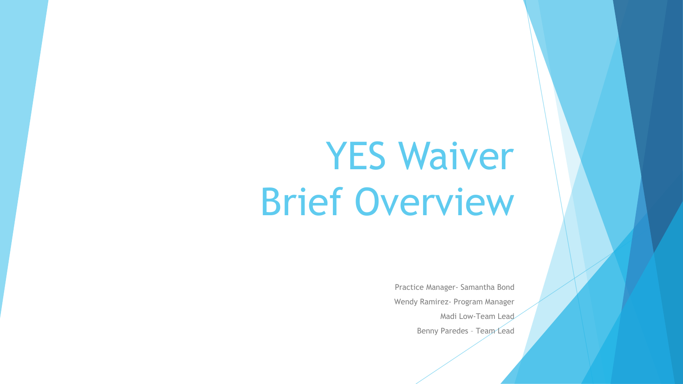## YES Waiver Brief Overview

Practice Manager- Samantha Bond Wendy Ramirez- Program Manager Madi Low-Team Lead Benny Paredes – Team Lead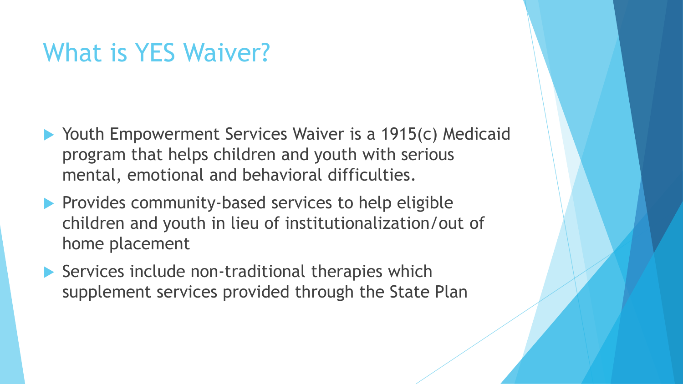#### What is YES Waiver?

- ▶ Youth Empowerment Services Waiver is a 1915(c) Medicaid program that helps children and youth with serious mental, emotional and behavioral difficulties.
- $\blacktriangleright$  Provides community-based services to help eligible children and youth in lieu of institutionalization/out of home placement
- ▶ Services include non-traditional therapies which supplement services provided through the State Plan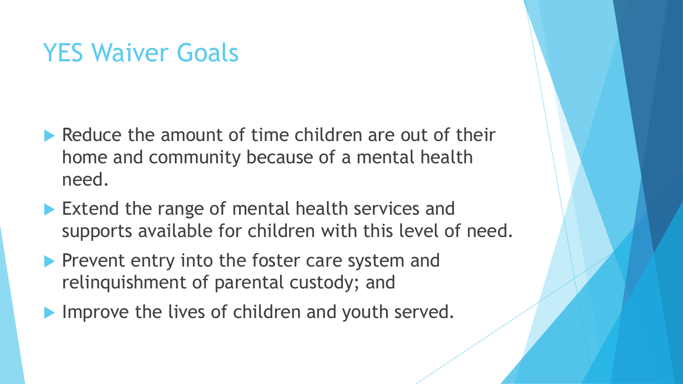## YES Waiver Goals

- Reduce the amount of time children are out of their home and community because of a mental health need.
- Extend the range of mental health services and supports available for children with this level of need.
- **Prevent entry into the foster care system and** relinquishment of parental custody; and
- Improve the lives of children and youth served.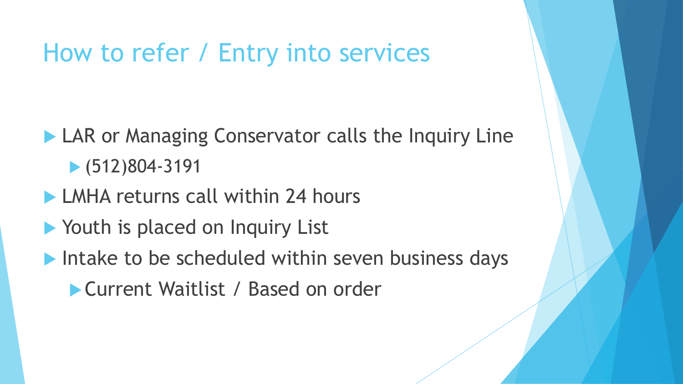## How to refer / Entry into services

- **LAR or Managing Conservator calls the Inquiry Line** (512)804-3191
- **LMHA returns call within 24 hours**
- **Nouth is placed on Inquiry List**
- Intake to be scheduled within seven business days
	- Current Waitlist / Based on order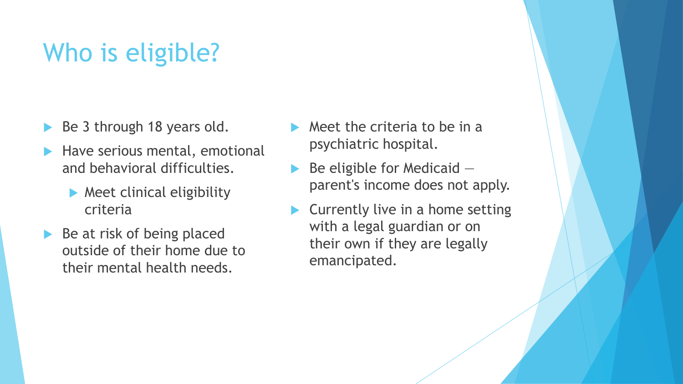## Who is eligible?

- Be 3 through 18 years old.
- Have serious mental, emotional and behavioral difficulties.
	- **Meet clinical eligibility** criteria
- $\blacktriangleright$  Be at risk of being placed outside of their home due to their mental health needs.
- $\blacktriangleright$  Meet the criteria to be in a psychiatric hospital.
- Be eligible for Medicaid parent's income does not apply.
- Currently live in a home setting with a legal guardian or on their own if they are legally emancipated.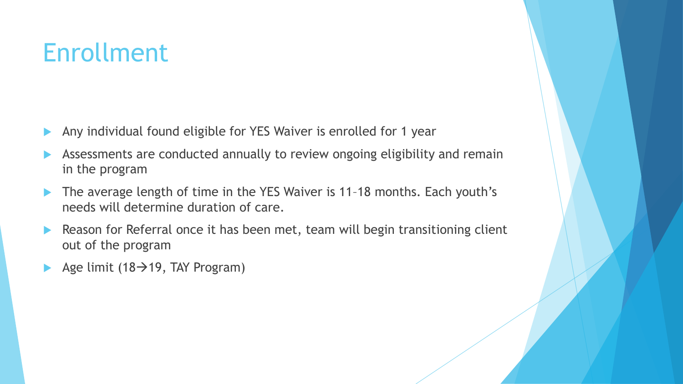## Enrollment

- Any individual found eligible for YES Waiver is enrolled for 1 year
- Assessments are conducted annually to review ongoing eligibility and remain in the program
- ▶ The average length of time in the YES Waiver is 11-18 months. Each youth's needs will determine duration of care.
- Reason for Referral once it has been met, team will begin transitioning client out of the program
- Age limit (18 $\rightarrow$ 19, TAY Program)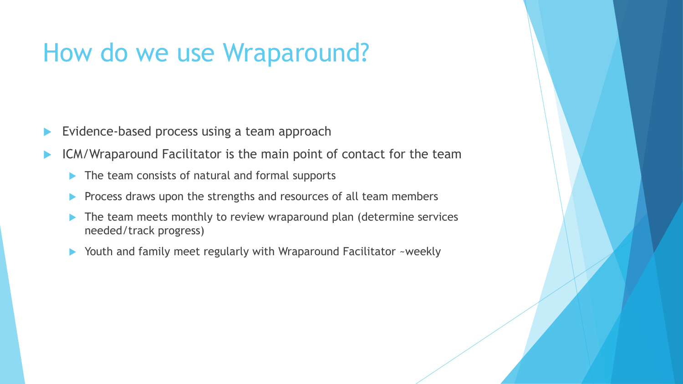## How do we use Wraparound?

- Evidence-based process using a team approach
- ICM/Wraparound Facilitator is the main point of contact for the team
	- $\blacktriangleright$  The team consists of natural and formal supports
	- **Process draws upon the strengths and resources of all team members**
	- The team meets monthly to review wraparound plan (determine services needed/track progress)
	- Youth and family meet regularly with Wraparound Facilitator ~weekly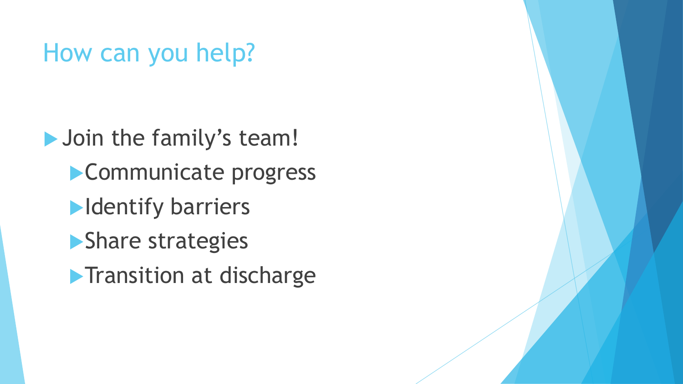## How can you help?

**Join the family's team!** Communicate progress **Identify barriers Share strategies Transition at discharge**